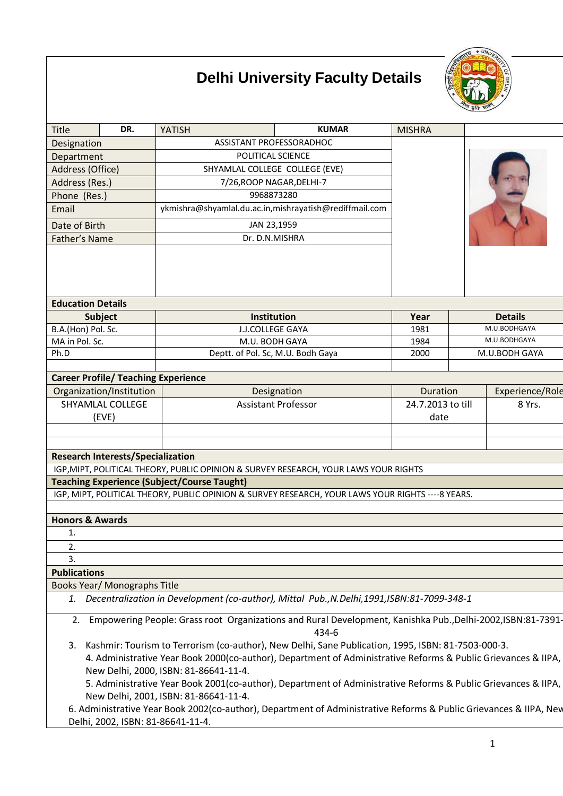# **Delhi University Faculty Details**



| Title                                                                                                                       | DR.                                        | <b>YATISH</b>                                                                                                                                                                                                                                                | <b>KUMAR</b>                              | <b>MISHRA</b>               |              |                 |
|-----------------------------------------------------------------------------------------------------------------------------|--------------------------------------------|--------------------------------------------------------------------------------------------------------------------------------------------------------------------------------------------------------------------------------------------------------------|-------------------------------------------|-----------------------------|--------------|-----------------|
| Designation                                                                                                                 |                                            | ASSISTANT PROFESSORADHOC                                                                                                                                                                                                                                     |                                           |                             |              |                 |
| Department                                                                                                                  |                                            | POLITICAL SCIENCE                                                                                                                                                                                                                                            |                                           |                             |              |                 |
| Address (Office)                                                                                                            |                                            | SHYAMLAL COLLEGE COLLEGE (EVE)                                                                                                                                                                                                                               |                                           |                             |              |                 |
| Address (Res.)                                                                                                              |                                            | 7/26, ROOP NAGAR, DELHI-7                                                                                                                                                                                                                                    |                                           |                             |              |                 |
| Phone (Res.)                                                                                                                |                                            | 9968873280                                                                                                                                                                                                                                                   |                                           |                             |              |                 |
| Email                                                                                                                       |                                            | ykmishra@shyamlal.du.ac.in,mishrayatish@rediffmail.com                                                                                                                                                                                                       |                                           |                             |              |                 |
| Date of Birth                                                                                                               |                                            | JAN 23,1959                                                                                                                                                                                                                                                  |                                           |                             |              |                 |
| Father's Name                                                                                                               |                                            | Dr. D.N.MISHRA                                                                                                                                                                                                                                               |                                           |                             |              |                 |
|                                                                                                                             |                                            |                                                                                                                                                                                                                                                              |                                           |                             |              |                 |
| <b>Education Details</b>                                                                                                    |                                            |                                                                                                                                                                                                                                                              |                                           |                             |              |                 |
|                                                                                                                             | Subject                                    | Institution                                                                                                                                                                                                                                                  |                                           | Year                        |              | <b>Details</b>  |
| B.A.(Hon) Pol. Sc.                                                                                                          |                                            | <b>J.J.COLLEGE GAYA</b><br>1981                                                                                                                                                                                                                              |                                           |                             | M.U.BODHGAYA |                 |
| MA in Pol. Sc.                                                                                                              |                                            | M.U. BODH GAYA<br>1984                                                                                                                                                                                                                                       |                                           |                             | M.U.BODHGAYA |                 |
| Ph.D                                                                                                                        |                                            |                                                                                                                                                                                                                                                              | Deptt. of Pol. Sc, M.U. Bodh Gaya<br>2000 |                             |              | M.U.BODH GAYA   |
|                                                                                                                             | <b>Career Profile/ Teaching Experience</b> |                                                                                                                                                                                                                                                              |                                           |                             |              |                 |
|                                                                                                                             | Organization/Institution                   |                                                                                                                                                                                                                                                              |                                           | <b>Duration</b>             |              | Experience/Role |
|                                                                                                                             | SHYAMLAL COLLEGE                           | Designation<br><b>Assistant Professor</b>                                                                                                                                                                                                                    |                                           | 24.7.2013 to till<br>8 Yrs. |              |                 |
|                                                                                                                             | (EVE)                                      |                                                                                                                                                                                                                                                              |                                           | date                        |              |                 |
|                                                                                                                             |                                            |                                                                                                                                                                                                                                                              |                                           |                             |              |                 |
|                                                                                                                             |                                            |                                                                                                                                                                                                                                                              |                                           |                             |              |                 |
|                                                                                                                             | <b>Research Interests/Specialization</b>   |                                                                                                                                                                                                                                                              |                                           |                             |              |                 |
|                                                                                                                             |                                            | IGP, MIPT, POLITICAL THEORY, PUBLIC OPINION & SURVEY RESEARCH, YOUR LAWS YOUR RIGHTS                                                                                                                                                                         |                                           |                             |              |                 |
|                                                                                                                             |                                            | <b>Teaching Experience (Subject/Course Taught)</b>                                                                                                                                                                                                           |                                           |                             |              |                 |
|                                                                                                                             |                                            | IGP, MIPT, POLITICAL THEORY, PUBLIC OPINION & SURVEY RESEARCH, YOUR LAWS YOUR RIGHTS ---- 8 YEARS.                                                                                                                                                           |                                           |                             |              |                 |
|                                                                                                                             |                                            |                                                                                                                                                                                                                                                              |                                           |                             |              |                 |
| <b>Honors &amp; Awards</b>                                                                                                  |                                            |                                                                                                                                                                                                                                                              |                                           |                             |              |                 |
| 1.                                                                                                                          |                                            |                                                                                                                                                                                                                                                              |                                           |                             |              |                 |
| 2.                                                                                                                          |                                            |                                                                                                                                                                                                                                                              |                                           |                             |              |                 |
| 3.                                                                                                                          |                                            |                                                                                                                                                                                                                                                              |                                           |                             |              |                 |
| <b>Publications</b>                                                                                                         |                                            |                                                                                                                                                                                                                                                              |                                           |                             |              |                 |
|                                                                                                                             | Books Year/ Monographs Title               |                                                                                                                                                                                                                                                              |                                           |                             |              |                 |
|                                                                                                                             |                                            | 1. Decentralization in Development (co-author), Mittal Pub., N.Delhi, 1991, ISBN:81-7099-348-1                                                                                                                                                               |                                           |                             |              |                 |
| Empowering People: Grass root Organizations and Rural Development, Kanishka Pub., Delhi-2002, ISBN: 81-7391-<br>2.<br>434-6 |                                            |                                                                                                                                                                                                                                                              |                                           |                             |              |                 |
| 3.                                                                                                                          |                                            | Kashmir: Tourism to Terrorism (co-author), New Delhi, Sane Publication, 1995, ISBN: 81-7503-000-3.<br>4. Administrative Year Book 2000(co-author), Department of Administrative Reforms & Public Grievances & IIPA,<br>New Delhi, 2000, ISBN: 81-86641-11-4. |                                           |                             |              |                 |

5. Administrative Year Book 2001(co-author), Department of Administrative Reforms & Public Grievances & IIPA, New Delhi, 2001, ISBN: 81-86641-11-4.

6. Administrative Year Book 2002(co-author), Department of Administrative Reforms & Public Grievances & IIPA, New Delhi, 2002, ISBN: 81-86641-11-4.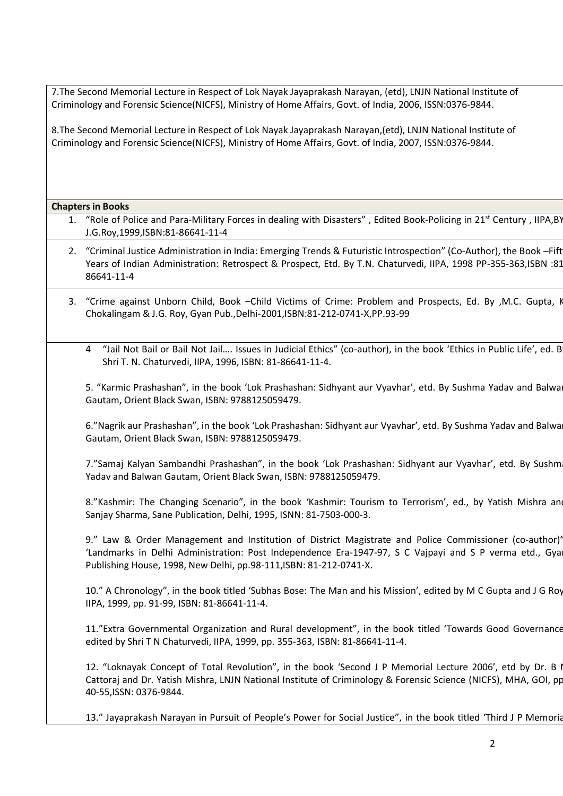7.The Second Memorial Lecture in Respect of Lok Nayak Jayaprakash Narayan, (etd), LNJN National Institute of Criminology and Forensic Science(NICFS), Ministry of Home Affairs, Govt. of India, 2006, ISSN:0376-9844.

8.The Second Memorial Lecture in Respect of Lok Nayak Jayaprakash Narayan,(etd), LNJN National Institute of Criminology and Forensic Science(NICFS), Ministry of Home Affairs, Govt. of India, 2007, ISSN:0376-9844.

#### **Chapters in Books**

- 1. "Role of Police and Para-Military Forces in dealing with Disasters", Edited Book-Policing in 21<sup>st</sup> Century, IIPA,BY J.G.Roy,1999,ISBN:81-86641-11-4
- 2. "Criminal Justice Administration in India: Emerging Trends & Futuristic Introspection" (Co-Author), the Book –Fift Years of Indian Administration: Retrospect & Prospect, Etd. By T.N. Chaturvedi, IIPA, 1998 PP-355-363,ISBN :81- 86641-11-4
- 3. "Crime against Unborn Child, Book –Child Victims of Crime: Problem and Prospects, Ed. By ,M.C. Gupta, K. Chokalingam & J.G. Roy, Gyan Pub.,Delhi-2001,ISBN:81-212-0741-X,PP.93-99
	- 4 "Jail Not Bail or Bail Not Jail.... Issues in Judicial Ethics" (co-author), in the book 'Ethics in Public Life', ed. B Shri T. N. Chaturvedi, IIPA, 1996, ISBN: 81-86641-11-4.

5. "Karmic Prashashan", in the book 'Lok Prashashan: Sidhyant aur Vyavhar', etd. By Sushma Yadav and Balwan Gautam, Orient Black Swan, ISBN: 9788125059479.

6."Nagrik aur Prashashan", in the book 'Lok Prashashan: Sidhyant aur Vyavhar', etd. By Sushma Yadav and Balwan Gautam, Orient Black Swan, ISBN: 9788125059479.

7."Samaj Kalyan Sambandhi Prashashan", in the book 'Lok Prashashan: Sidhyant aur Vyavhar', etd. By Sushm Yadav and Balwan Gautam, Orient Black Swan, ISBN: 9788125059479.

8."Kashmir: The Changing Scenario", in the book 'Kashmir: Tourism to Terrorism', ed., by Yatish Mishra and Sanjay Sharma, Sane Publication, Delhi, 1995, ISNN: 81-7503-000-3.

9." Law & Order Management and Institution of District Magistrate and Police Commissioner (co-author)' 'Landmarks in Delhi Administration: Post Independence Era-1947-97, S C Vajpayi and S P verma etd., Gyan Publishing House, 1998, New Delhi, pp.98-111,ISBN: 81-212-0741-X.

10." A Chronology", in the book titled 'Subhas Bose: The Man and his Mission', edited by M C Gupta and J G Roy, IIPA, 1999, pp. 91-99, ISBN: 81-86641-11-4.

11."Extra Governmental Organization and Rural development", in the book titled 'Towards Good Governance' edited by Shri T N Chaturvedi, IIPA, 1999, pp. 355-363, ISBN: 81-86641-11-4.

12. "Loknayak Concept of Total Revolution", in the book 'Second J P Memorial Lecture 2006', etd by Dr. B I Cattoraj and Dr. Yatish Mishra, LNJN National Institute of Criminology & Forensic Science (NICFS), MHA, GOI, pp. 40-55,ISSN: 0376-9844.

13." Jayaprakash Narayan in Pursuit of People's Power for Social Justice", in the book titled 'Third J P Memorial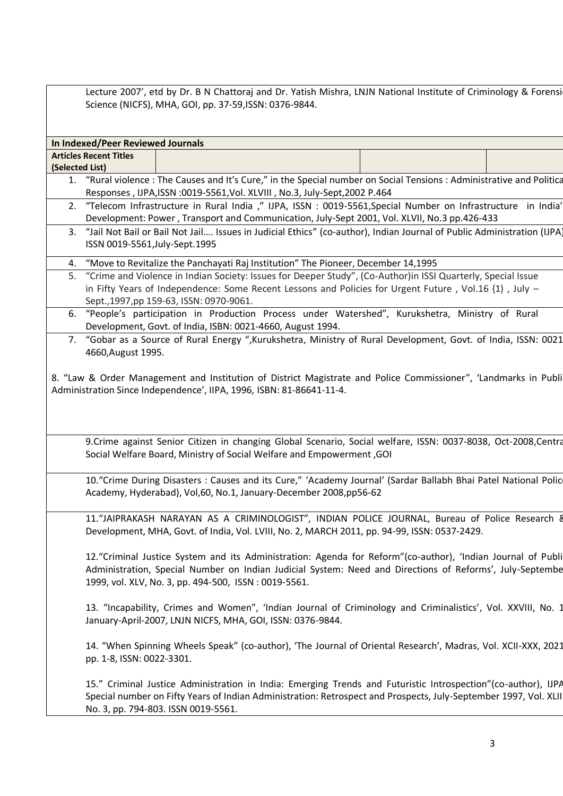Lecture 2007', etd by Dr. B N Chattoraj and Dr. Yatish Mishra, LNJN National Institute of Criminology & Forensi Science (NICFS), MHA, GOI, pp. 37-59,ISSN: 0376-9844.

|                 | In Indexed/Peer Reviewed Journals                                                                            |                                                                                                                                                                                                                                                                                 |  |  |  |  |
|-----------------|--------------------------------------------------------------------------------------------------------------|---------------------------------------------------------------------------------------------------------------------------------------------------------------------------------------------------------------------------------------------------------------------------------|--|--|--|--|
|                 | <b>Articles Recent Titles</b>                                                                                |                                                                                                                                                                                                                                                                                 |  |  |  |  |
| (Selected List) |                                                                                                              |                                                                                                                                                                                                                                                                                 |  |  |  |  |
|                 |                                                                                                              | 1. "Rural violence: The Causes and It's Cure," in the Special number on Social Tensions: Administrative and Politica                                                                                                                                                            |  |  |  |  |
|                 |                                                                                                              | Responses, IJPA, ISSN : 0019-5561, Vol. XLVIII, No.3, July-Sept, 2002 P.464                                                                                                                                                                                                     |  |  |  |  |
| 2.              |                                                                                                              | "Telecom Infrastructure in Rural India ," IJPA, ISSN : 0019-5561, Special Number on Infrastructure in India'<br>Development: Power, Transport and Communication, July-Sept 2001, Vol. XLVII, No.3 pp.426-433                                                                    |  |  |  |  |
| 3.              |                                                                                                              | "Jail Not Bail or Bail Not Jail Issues in Judicial Ethics" (co-author), Indian Journal of Public Administration (IJPA)                                                                                                                                                          |  |  |  |  |
|                 | ISSN 0019-5561, July-Sept. 1995                                                                              |                                                                                                                                                                                                                                                                                 |  |  |  |  |
| 4.              | "Move to Revitalize the Panchayati Raj Institution" The Pioneer, December 14,1995                            |                                                                                                                                                                                                                                                                                 |  |  |  |  |
| 5.              | "Crime and Violence in Indian Society: Issues for Deeper Study", (Co-Author)in ISSI Quarterly, Special Issue |                                                                                                                                                                                                                                                                                 |  |  |  |  |
|                 |                                                                                                              | in Fifty Years of Independence: Some Recent Lessons and Policies for Urgent Future, Vol.16 {1), July -<br>Sept., 1997, pp 159-63, ISSN: 0970-9061.                                                                                                                              |  |  |  |  |
| 6.              |                                                                                                              | "People's participation in Production Process under Watershed", Kurukshetra, Ministry of Rural<br>Development, Govt. of India, ISBN: 0021-4660, August 1994.                                                                                                                    |  |  |  |  |
|                 |                                                                                                              | 7. "Gobar as a Source of Rural Energy ", Kurukshetra, Ministry of Rural Development, Govt. of India, ISSN: 0021                                                                                                                                                                 |  |  |  |  |
|                 | 4660, August 1995.                                                                                           |                                                                                                                                                                                                                                                                                 |  |  |  |  |
|                 |                                                                                                              | 8. "Law & Order Management and Institution of District Magistrate and Police Commissioner", 'Landmarks in Publi<br>Administration Since Independence', IIPA, 1996, ISBN: 81-86641-11-4.                                                                                         |  |  |  |  |
|                 |                                                                                                              | 9.Crime against Senior Citizen in changing Global Scenario, Social welfare, ISSN: 0037-8038, Oct-2008,Centra<br>Social Welfare Board, Ministry of Social Welfare and Empowerment, GOI                                                                                           |  |  |  |  |
|                 |                                                                                                              | 10. "Crime During Disasters : Causes and its Cure," 'Academy Journal' (Sardar Ballabh Bhai Patel National Polic<br>Academy, Hyderabad), Vol,60, No.1, January-December 2008,pp56-62                                                                                             |  |  |  |  |
|                 |                                                                                                              | 11."JAIPRAKASH NARAYAN AS A CRIMINOLOGIST", INDIAN POLICE JOURNAL, Bureau of Police Research 8<br>Development, MHA, Govt. of India, Vol. LVIII, No. 2, MARCH 2011, pp. 94-99, ISSN: 0537-2429.                                                                                  |  |  |  |  |
|                 |                                                                                                              | 12."Criminal Justice System and its Administration: Agenda for Reform"(co-author), 'Indian Journal of Publi<br>Administration, Special Number on Indian Judicial System: Need and Directions of Reforms', July-Septembe<br>1999, vol. XLV, No. 3, pp. 494-500, ISSN: 0019-5561. |  |  |  |  |
|                 |                                                                                                              | 13. "Incapability, Crimes and Women", 'Indian Journal of Criminology and Criminalistics', Vol. XXVIII, No. 1<br>January-April-2007, LNJN NICFS, MHA, GOI, ISSN: 0376-9844.                                                                                                      |  |  |  |  |
|                 | pp. 1-8, ISSN: 0022-3301.                                                                                    | 14. "When Spinning Wheels Speak" (co-author), 'The Journal of Oriental Research', Madras, Vol. XCII-XXX, 2021                                                                                                                                                                   |  |  |  |  |
|                 |                                                                                                              | 15." Criminal Justice Administration in India: Emerging Trends and Futuristic Introspection"(co-author), IJPA<br>Special number on Fifty Years of Indian Administration: Retrospect and Prospects, July-September 1997, Vol. XLII<br>No. 3, pp. 794-803. ISSN 0019-5561.        |  |  |  |  |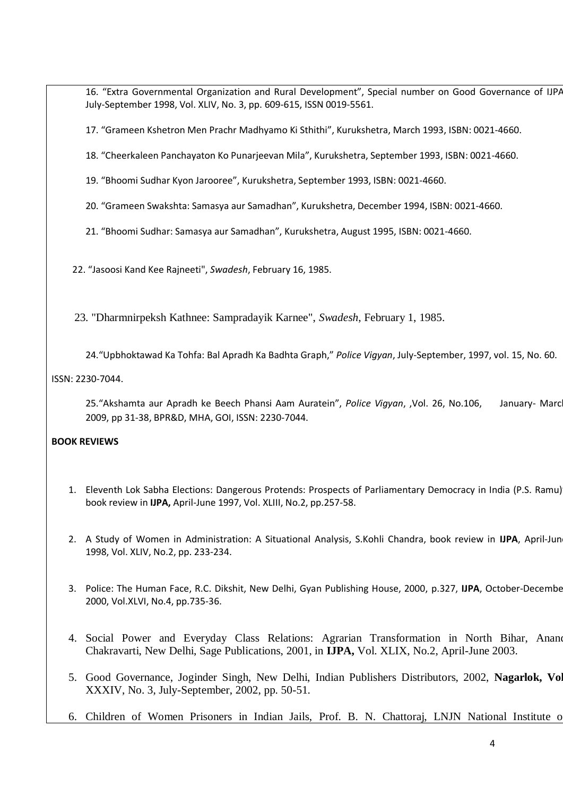16. "Extra Governmental Organization and Rural Development", Special number on Good Governance of IJPA July-September 1998, Vol. XLIV, No. 3, pp. 609-615, ISSN 0019-5561.

17. "Grameen Kshetron Men Prachr Madhyamo Ki Sthithi", Kurukshetra, March 1993, ISBN: 0021-4660.

18. "Cheerkaleen Panchayaton Ko Punarjeevan Mila", Kurukshetra, September 1993, ISBN: 0021-4660.

19. "Bhoomi Sudhar Kyon Jarooree", Kurukshetra, September 1993, ISBN: 0021-4660.

20. "Grameen Swakshta: Samasya aur Samadhan", Kurukshetra, December 1994, ISBN: 0021-4660.

21. "Bhoomi Sudhar: Samasya aur Samadhan", Kurukshetra, August 1995, ISBN: 0021-4660.

22. "Jasoosi Kand Kee Rajneeti", *Swadesh*, February 16, 1985.

23. "Dharmnirpeksh Kathnee: Sampradayik Karnee", *Swadesh*, February 1, 1985.

24."Upbhoktawad Ka Tohfa: Bal Apradh Ka Badhta Graph," *Police Vigyan*, July-September, 1997, vol. 15, No. 60.

#### ISSN: 2230-7044.

 25."Akshamta aur Apradh ke Beech Phansi Aam Auratein", *Police Vigyan*, ,Vol. 26, No.106, January- March 2009, pp 31-38, BPR&D, MHA, GOI, ISSN: 2230-7044.

#### **BOOK REVIEWS**

- 1. Eleventh Lok Sabha Elections: Dangerous Protends: Prospects of Parliamentary Democracy in India (P.S. Ramu)" book review in **IJPA,** April-June 1997, Vol. XLIII, No.2, pp.257-58.
- 2. A Study of Women in Administration: A Situational Analysis, S.Kohli Chandra, book review in **IJPA**, April-June 1998, Vol. XLIV, No.2, pp. 233-234.
- 3. Police: The Human Face, R.C. Dikshit, New Delhi, Gyan Publishing House, 2000, p.327, **IJPA**, October-December 2000, Vol.XLVI, No.4, pp.735-36.
- 4. Social Power and Everyday Class Relations: Agrarian Transformation in North Bihar, Anand Chakravarti, New Delhi, Sage Publications, 2001, in **IJPA,** Vol. XLIX, No.2, April-June 2003.
- 5. Good Governance, Joginder Singh, New Delhi, Indian Publishers Distributors, 2002, **Nagarlok, Vol**. XXXIV, No. 3, July-September, 2002, pp. 50-51.
- 6. Children of Women Prisoners in Indian Jails, Prof. B. N. Chattoraj, LNJN National Institute of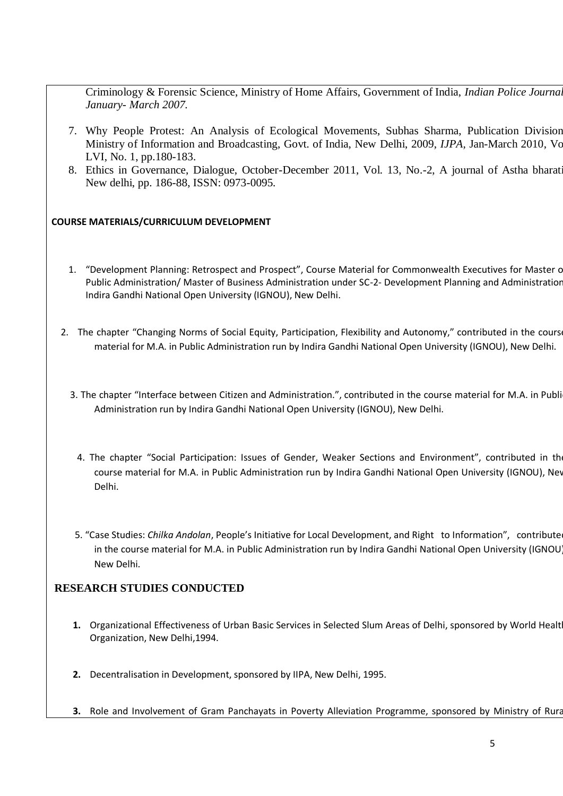Criminology & Forensic Science, Ministry of Home Affairs, Government of India, *Indian Police Journal, January- March 2007.*

- 7. Why People Protest: An Analysis of Ecological Movements, Subhas Sharma, Publication Division, Ministry of Information and Broadcasting, Govt. of India, New Delhi, 2009, *IJPA,* Jan-March 2010, Vol LVI, No. 1, pp.180-183.
- 8. Ethics in Governance, Dialogue, October-December 2011, Vol. 13, No.-2, A journal of Astha bharati, New delhi, pp. 186-88, ISSN: 0973-0095.

### **COURSE MATERIALS/CURRICULUM DEVELOPMENT**

- 1. "Development Planning: Retrospect and Prospect", Course Material for Commonwealth Executives for Master c Public Administration/ Master of Business Administration under SC-2- Development Planning and Administration, Indira Gandhi National Open University (IGNOU), New Delhi.
- 2. The chapter "Changing Norms of Social Equity, Participation, Flexibility and Autonomy," contributed in the cours material for M.A. in Public Administration run by Indira Gandhi National Open University (IGNOU), New Delhi.
	- 3. The chapter "Interface between Citizen and Administration.", contributed in the course material for M.A. in Publi Administration run by Indira Gandhi National Open University (IGNOU), New Delhi.
		- 4. The chapter "Social Participation: Issues of Gender, Weaker Sections and Environment", contributed in th course material for M.A. in Public Administration run by Indira Gandhi National Open University (IGNOU), New Delhi.
	- 5. "Case Studies: *Chilka Andolan*, People's Initiative for Local Development, and Right to Information", contributed in the course material for M.A. in Public Administration run by Indira Gandhi National Open University (IGNOU), New Delhi.

## **RESEARCH STUDIES CONDUCTED**

- 1. Organizational Effectiveness of Urban Basic Services in Selected Slum Areas of Delhi, sponsored by World Healt Organization, New Delhi,1994.
- **2.** Decentralisation in Development, sponsored by IIPA, New Delhi, 1995.
- **3.** Role and Involvement of Gram Panchayats in Poverty Alleviation Programme, sponsored by Ministry of Rural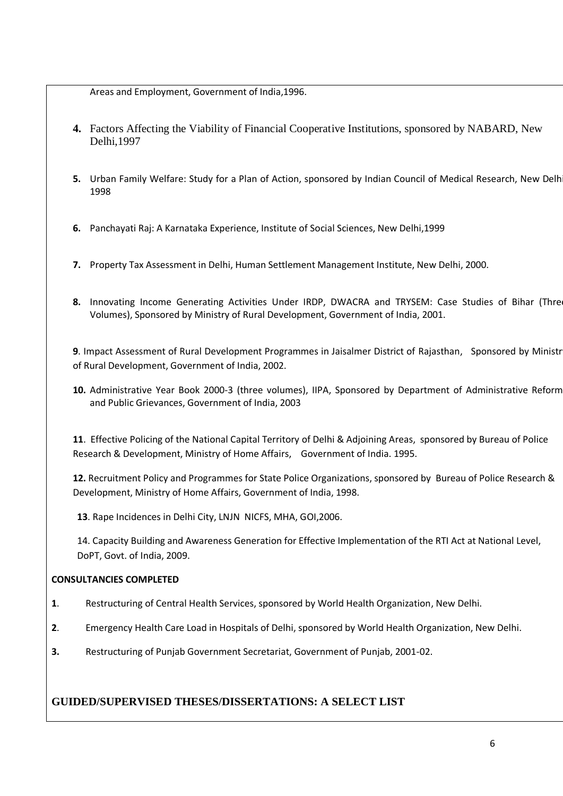Areas and Employment, Government of India,1996.

- **4.** Factors Affecting the Viability of Financial Cooperative Institutions, sponsored by NABARD, New Delhi,1997
- **5.** Urban Family Welfare: Study for a Plan of Action, sponsored by Indian Council of Medical Research, New Delh 1998
- **6.** Panchayati Raj: A Karnataka Experience, Institute of Social Sciences, New Delhi,1999
- **7.** Property Tax Assessment in Delhi, Human Settlement Management Institute, New Delhi, 2000.
- **8.** Innovating Income Generating Activities Under IRDP, DWACRA and TRYSEM: Case Studies of Bihar (Three Volumes), Sponsored by Ministry of Rural Development, Government of India, 2001.

**9**. Impact Assessment of Rural Development Programmes in Jaisalmer District of Rajasthan, Sponsored by Ministr of Rural Development, Government of India, 2002.

**10.** Administrative Year Book 2000-3 (three volumes), IIPA, Sponsored by Department of Administrative Reforms and Public Grievances, Government of India, 2003

**11**. Effective Policing of the National Capital Territory of Delhi & Adjoining Areas, sponsored by Bureau of Police Research & Development, Ministry of Home Affairs, Government of India. 1995.

**12.** Recruitment Policy and Programmes for State Police Organizations, sponsored by Bureau of Police Research & Development, Ministry of Home Affairs, Government of India, 1998.

**13**. Rape Incidences in Delhi City, LNJN NICFS, MHA, GOI,2006.

14. Capacity Building and Awareness Generation for Effective Implementation of the RTI Act at National Level, DoPT, Govt. of India, 2009.

## **CONSULTANCIES COMPLETED**

- **1**. Restructuring of Central Health Services, sponsored by World Health Organization, New Delhi.
- **2**. Emergency Health Care Load in Hospitals of Delhi, sponsored by World Health Organization, New Delhi.
- **3.** Restructuring of Punjab Government Secretariat, Government of Punjab, 2001-02.

## **GUIDED/SUPERVISED THESES/DISSERTATIONS: A SELECT LIST**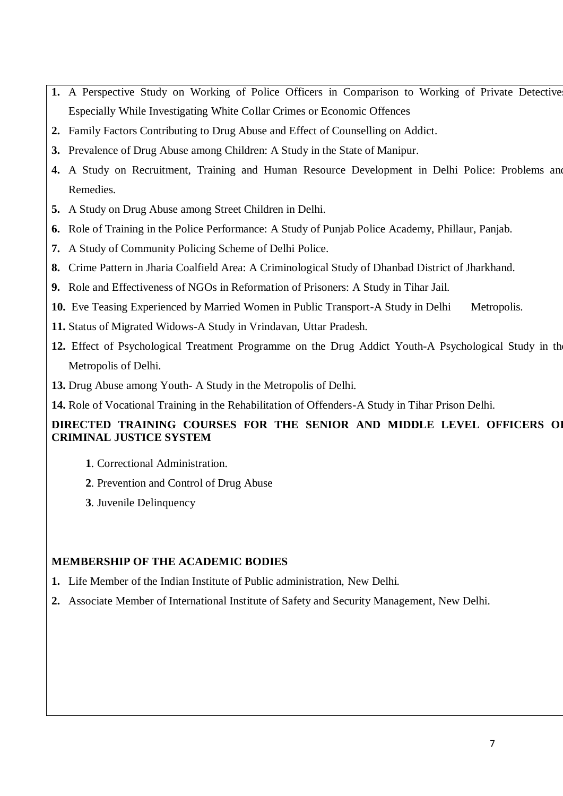- **1.** A Perspective Study on Working of Police Officers in Comparison to Working of Private Detectives Especially While Investigating White Collar Crimes or Economic Offences
- **2.** Family Factors Contributing to Drug Abuse and Effect of Counselling on Addict.
- **3.** Prevalence of Drug Abuse among Children: A Study in the State of Manipur.
- **4.** A Study on Recruitment, Training and Human Resource Development in Delhi Police: Problems and Remedies.
- **5.** A Study on Drug Abuse among Street Children in Delhi.
- **6.** Role of Training in the Police Performance: A Study of Punjab Police Academy, Phillaur, Panjab.
- **7.** A Study of Community Policing Scheme of Delhi Police.
- **8.** Crime Pattern in Jharia Coalfield Area: A Criminological Study of Dhanbad District of Jharkhand.
- **9.** Role and Effectiveness of NGOs in Reformation of Prisoners: A Study in Tihar Jail.
- **10.** Eve Teasing Experienced by Married Women in Public Transport-A Study in Delhi Metropolis.
- **11.** Status of Migrated Widows-A Study in Vrindavan, Uttar Pradesh.
- **12.** Effect of Psychological Treatment Programme on the Drug Addict Youth-A Psychological Study in the Metropolis of Delhi.
- **13.** Drug Abuse among Youth- A Study in the Metropolis of Delhi.
- **14.** Role of Vocational Training in the Rehabilitation of Offenders-A Study in Tihar Prison Delhi.

# **DIRECTED TRAINING COURSES FOR THE SENIOR AND MIDDLE LEVEL OFFICERS OF CRIMINAL JUSTICE SYSTEM**

- **1**. Correctional Administration.
- **2**. Prevention and Control of Drug Abuse
- **3**. Juvenile Delinquency

# **MEMBERSHIP OF THE ACADEMIC BODIES**

- **1.** Life Member of the Indian Institute of Public administration, New Delhi.
- **2.** Associate Member of International Institute of Safety and Security Management, New Delhi.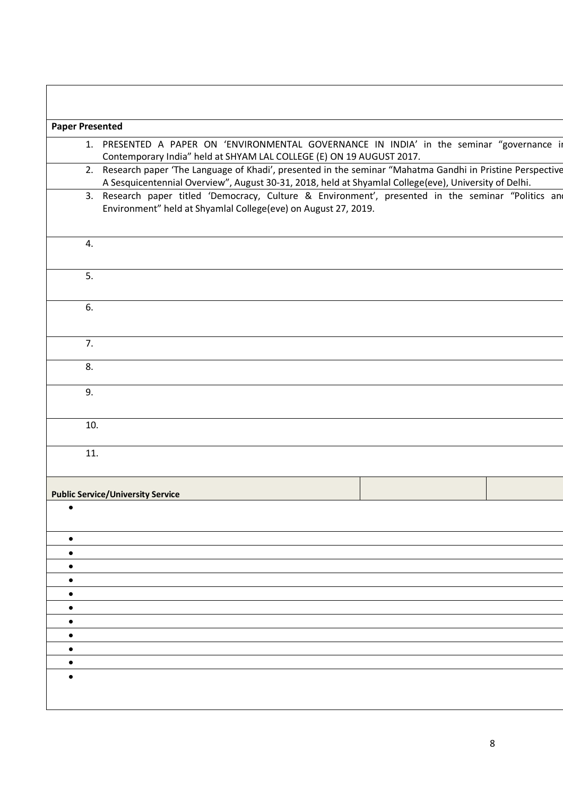| <b>Paper Presented</b> |                                                                                                                                                                                                              |
|------------------------|--------------------------------------------------------------------------------------------------------------------------------------------------------------------------------------------------------------|
|                        | 1. PRESENTED A PAPER ON 'ENVIRONMENTAL GOVERNANCE IN INDIA' in the seminar "governance in                                                                                                                    |
|                        | Contemporary India" held at SHYAM LAL COLLEGE (E) ON 19 AUGUST 2017.<br>2. Research paper 'The Language of Khadi', presented in the seminar "Mahatma Gandhi in Pristine Perspective                          |
|                        | A Sesquicentennial Overview", August 30-31, 2018, held at Shyamlal College(eve), University of Delhi.<br>3. Research paper titled 'Democracy, Culture & Environment', presented in the seminar "Politics and |
|                        | Environment" held at Shyamlal College(eve) on August 27, 2019.                                                                                                                                               |
| 4.                     |                                                                                                                                                                                                              |
| 5.                     |                                                                                                                                                                                                              |
| 6.                     |                                                                                                                                                                                                              |
| 7.                     |                                                                                                                                                                                                              |
| 8.                     |                                                                                                                                                                                                              |
| 9.                     |                                                                                                                                                                                                              |
| 10.                    |                                                                                                                                                                                                              |
| 11.                    |                                                                                                                                                                                                              |
|                        | <b>Public Service/University Service</b>                                                                                                                                                                     |
| $\bullet$              |                                                                                                                                                                                                              |
|                        |                                                                                                                                                                                                              |
|                        |                                                                                                                                                                                                              |
|                        |                                                                                                                                                                                                              |
|                        |                                                                                                                                                                                                              |
|                        |                                                                                                                                                                                                              |
|                        |                                                                                                                                                                                                              |
|                        |                                                                                                                                                                                                              |
|                        |                                                                                                                                                                                                              |
|                        |                                                                                                                                                                                                              |
|                        |                                                                                                                                                                                                              |
|                        |                                                                                                                                                                                                              |